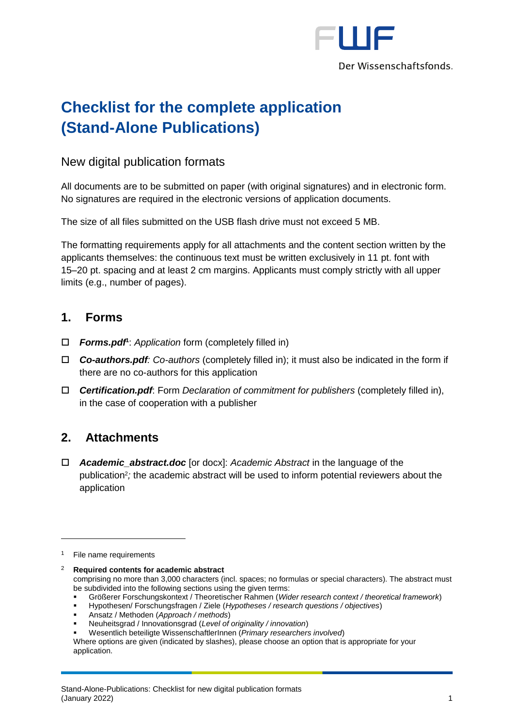

# **Checklist for the complete application (Stand-Alone Publications)**

#### New digital publication formats

All documents are to be submitted on paper (with original signatures) and in electronic form. No signatures are required in the electronic versions of application documents.

The size of all files submitted on the USB flash drive must not exceed 5 MB.

The formatting requirements apply for all attachments and the content section written by the applicants themselves: the continuous text must be written exclusively in 11 pt. font with 15–20 pt. spacing and at least 2 cm margins. Applicants must comply strictly with all upper limits (e.g., number of pages).

#### **1. Forms**

- *Forms.pdf***<sup>1</sup>** : *Application* form (completely filled in)
- *Co-authors.pdf: Co-authors* (completely filled in); it must also be indicated in the form if there are no co-authors for this application
- *Certification.pdf*: Form *Declaration of commitment for publishers* (completely filled in), in the case of cooperation with a publisher

## **2. Attachments**

 *Academic\_abstract.doc* [or docx]: *Academic Abstract* in the language of the publication<sup>2</sup> *;* the academic abstract will be used to inform potential reviewers about the application

-

- Größerer Forschungskontext / Theoretischer Rahmen (*Wider research context / theoretical framework*)
- Hypothesen/ Forschungsfragen / Ziele (*Hypotheses / research questions / objectives*)

- Neuheitsgrad / Innovationsgrad (*Level of originality / innovation*)
- Wesentlich beteiligte WissenschaftlerInnen (*Primary researchers involved*)

Where options are given (indicated by slashes), please choose an option that is appropriate for your application.

 $1$  File name requirements

<sup>2</sup> **Required contents for academic abstract** comprising no more than 3,000 characters (incl. spaces; no formulas or special characters). The abstract must be subdivided into the following sections using the given terms:

<sup>▪</sup> Ansatz / Methoden (*Approach / methods*)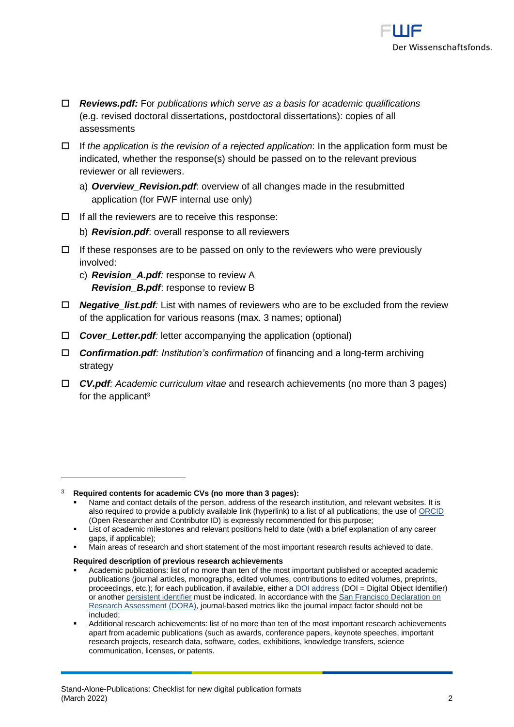

- *Reviews.pdf:* For *publications which serve as a basis for academic qualifications* (e.g. revised doctoral dissertations, postdoctoral dissertations): copies of all assessments
- If *the application is the revision of a rejected application*: In the application form must be indicated, whether the response(s) should be passed on to the relevant previous reviewer or all reviewers.
	- a) *Overview\_Revision.pdf*: overview of all changes made in the resubmitted application (for FWF internal use only)
- $\Box$  If all the reviewers are to receive this response:
	- b) *Revision.pdf*: overall response to all reviewers
- $\Box$  If these responses are to be passed on only to the reviewers who were previously involved:
	- c) *Revision\_A.pdf:* response to review A *Revision\_B.pdf*: response to review B
- *Negative\_list.pdf:* List with names of reviewers who are to be excluded from the review of the application for various reasons (max. 3 names; optional)
- □ *Cover Letter.pdf:* letter accompanying the application (optional)
- *Confirmation.pdf: Institution's confirmation* of financing and a long-term archiving strategy
- *CV.pdf: Academic curriculum vitae* and research achievements (no more than 3 pages) for the applicant<sup>3</sup>

-

<sup>3</sup> **Required contents for academic CVs (no more than 3 pages):**

Name and contact details of the person, address of the research institution, and relevant websites. It is also required to provide a publicly available link (hyperlink) to a list of all publications; the use of [ORCID](https://orcid.org/) (Open Researcher and Contributor ID) is expressly recommended for this purpose;

List of academic milestones and relevant positions held to date (with a brief explanation of any career gaps, if applicable);

Main areas of research and short statement of the most important research results achieved to date.

**Required description of previous research achievements**

Academic publications: list of no more than ten of the most important published or accepted academic publications (journal articles, monographs, edited volumes, contributions to edited volumes, preprints, proceedings, etc.); for each publication, if available, either a [DOI address](http://www.doi.org/) (DOI = Digital Object Identifier) or anothe[r persistent identifier](http://en.wikipedia.org/wiki/Persistent_identifier) must be indicated. In accordance with th[e San Francisco Declaration on](https://sfdora.org/signers/)  [Research Assessment](https://sfdora.org/signers/) (DORA), journal-based metrics like the journal impact factor should not be included;

Additional research achievements: list of no more than ten of the most important research achievements apart from academic publications (such as awards, conference papers, keynote speeches, important research projects, research data, software, codes, exhibitions, knowledge transfers, science communication, licenses, or patents.